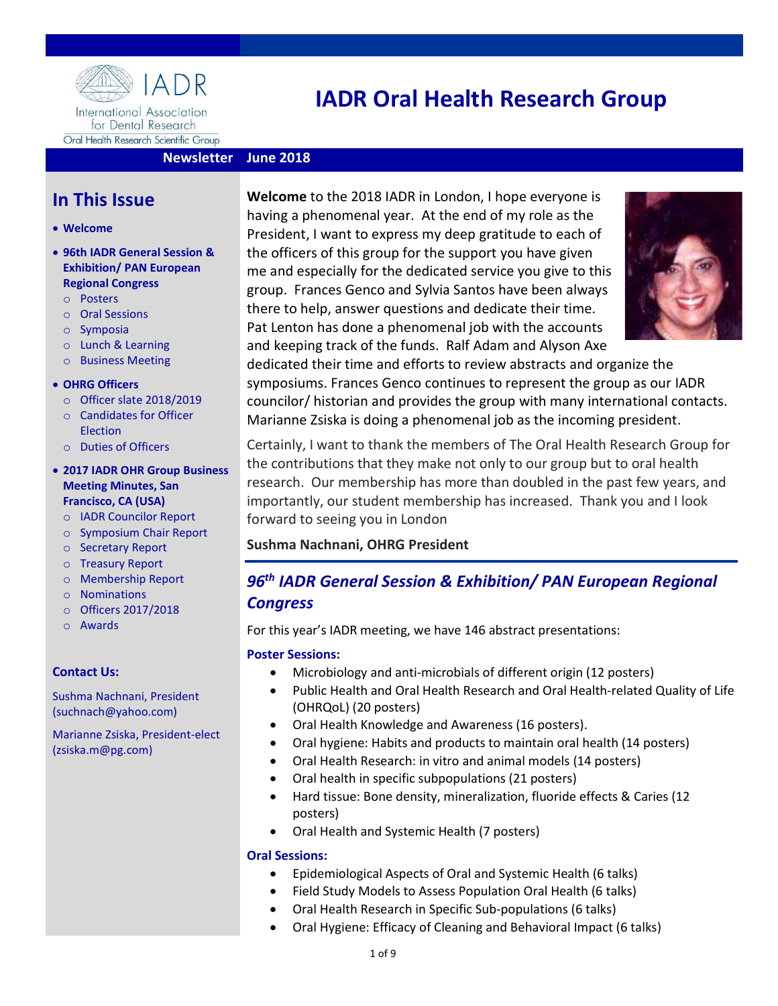

# IADR Oral Health Research Group

## Newsletter June 2018

## In This Issue

#### Welcome

- 96th IADR General Session & Exhibition/ PAN European Regional Congress
	- o Posters
	- o Oral Sessions
	- o Symposia
	- o Lunch & Learning
	- o Business Meeting
- OHRG Officers
	- o Officer slate 2018/2019
	- o Candidates for Officer Election
	- o Duties of Officers
- 2017 IADR OHR Group Business Meeting Minutes, San Francisco, CA (USA)
	- o IADR Councilor Report
	- o Symposium Chair Report
	- o Secretary Report
	- o Treasury Report
	- o Membership Report
	- o Nominations
	- o Officers 2017/2018
	- o Awards

### Contact Us:

Sushma Nachnani, President (suchnach@yahoo.com)

Marianne Zsiska, President-elect (zsiska.m@pg.com)

Welcome to the 2018 IADR in London, I hope everyone is having a phenomenal year. At the end of my role as the President, I want to express my deep gratitude to each of the officers of this group for the support you have given me and especially for the dedicated service you give to this group. Frances Genco and Sylvia Santos have been always there to help, answer questions and dedicate their time. Pat Lenton has done a phenomenal job with the accounts and keeping track of the funds. Ralf Adam and Alyson Axe



dedicated their time and efforts to review abstracts and organize the symposiums. Frances Genco continues to represent the group as our IADR councilor/ historian and provides the group with many international contacts. Marianne Zsiska is doing a phenomenal job as the incoming president.

Certainly, I want to thank the members of The Oral Health Research Group for the contributions that they make not only to our group but to oral health research. Our membership has more than doubled in the past few years, and importantly, our student membership has increased. Thank you and I look forward to seeing you in London

## Sushma Nachnani, OHRG President

## 96th IADR General Session & Exhibition/ PAN European Regional **Congress**

For this year's IADR meeting, we have 146 abstract presentations:

### Poster Sessions:

- Microbiology and anti-microbials of different origin (12 posters)
- Public Health and Oral Health Research and Oral Health-related Quality of Life (OHRQoL) (20 posters)
- Oral Health Knowledge and Awareness (16 posters).
- Oral hygiene: Habits and products to maintain oral health (14 posters)
- Oral Health Research: in vitro and animal models (14 posters)
- Oral health in specific subpopulations (21 posters)
- Hard tissue: Bone density, mineralization, fluoride effects & Caries (12 posters)
- Oral Health and Systemic Health (7 posters)

### Oral Sessions:

- Epidemiological Aspects of Oral and Systemic Health (6 talks)
- Field Study Models to Assess Population Oral Health (6 talks)
- Oral Health Research in Specific Sub-populations (6 talks)
- Oral Hygiene: Efficacy of Cleaning and Behavioral Impact (6 talks)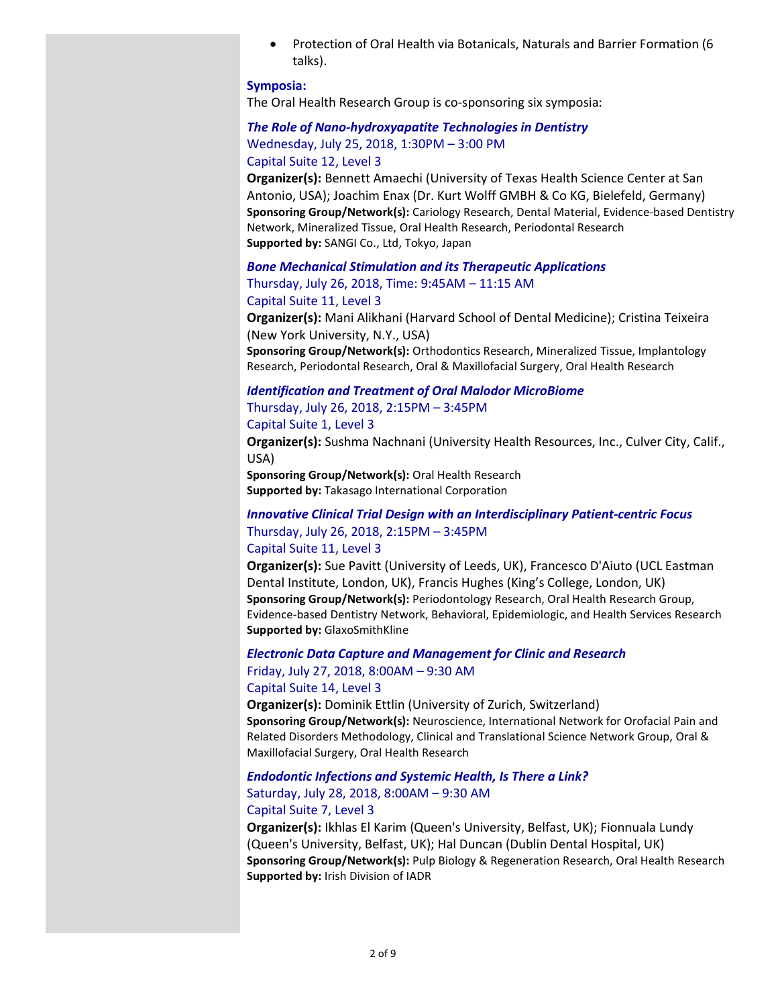Protection of Oral Health via Botanicals, Naturals and Barrier Formation (6 talks).

#### Symposia:

The Oral Health Research Group is co-sponsoring six symposia:

#### The Role of Nano-hydroxyapatite Technologies in Dentistry Wednesday, July 25, 2018, 1:30PM – 3:00 PM

#### Capital Suite 12, Level 3

Organizer(s): Bennett Amaechi (University of Texas Health Science Center at San Antonio, USA); Joachim Enax (Dr. Kurt Wolff GMBH & Co KG, Bielefeld, Germany) Sponsoring Group/Network(s): Cariology Research, Dental Material, Evidence-based Dentistry Network, Mineralized Tissue, Oral Health Research, Periodontal Research Supported by: SANGI Co., Ltd, Tokyo, Japan

#### Bone Mechanical Stimulation and its Therapeutic Applications Thursday, July 26, 2018, Time: 9:45AM – 11:15 AM Capital Suite 11, Level 3

Organizer(s): Mani Alikhani (Harvard School of Dental Medicine); Cristina Teixeira (New York University, N.Y., USA)

Sponsoring Group/Network(s): Orthodontics Research, Mineralized Tissue, Implantology Research, Periodontal Research, Oral & Maxillofacial Surgery, Oral Health Research

#### Identification and Treatment of Oral Malodor MicroBiome

#### Thursday, July 26, 2018, 2:15PM – 3:45PM

#### Capital Suite 1, Level 3

Organizer(s): Sushma Nachnani (University Health Resources, Inc., Culver City, Calif., USA)

Sponsoring Group/Network(s): Oral Health Research Supported by: Takasago International Corporation

### Innovative Clinical Trial Design with an Interdisciplinary Patient-centric Focus Thursday, July 26, 2018, 2:15PM – 3:45PM Capital Suite 11, Level 3

Organizer(s): Sue Pavitt (University of Leeds, UK), Francesco D'Aiuto (UCL Eastman Dental Institute, London, UK), Francis Hughes (King's College, London, UK) Sponsoring Group/Network(s): Periodontology Research, Oral Health Research Group, Evidence-based Dentistry Network, Behavioral, Epidemiologic, and Health Services Research Supported by: GlaxoSmithKline

## Electronic Data Capture and Management for Clinic and Research Friday, July 27, 2018, 8:00AM – 9:30 AM

#### Capital Suite 14, Level 3

Organizer(s): Dominik Ettlin (University of Zurich, Switzerland) Sponsoring Group/Network(s): Neuroscience, International Network for Orofacial Pain and Related Disorders Methodology, Clinical and Translational Science Network Group, Oral & Maxillofacial Surgery, Oral Health Research

#### Endodontic Infections and Systemic Health, Is There a Link? Saturday, July 28, 2018, 8:00AM – 9:30 AM Capital Suite 7, Level 3

Organizer(s): Ikhlas El Karim (Queen's University, Belfast, UK); Fionnuala Lundy (Queen's University, Belfast, UK); Hal Duncan (Dublin Dental Hospital, UK) Sponsoring Group/Network(s): Pulp Biology & Regeneration Research, Oral Health Research Supported by: Irish Division of IADR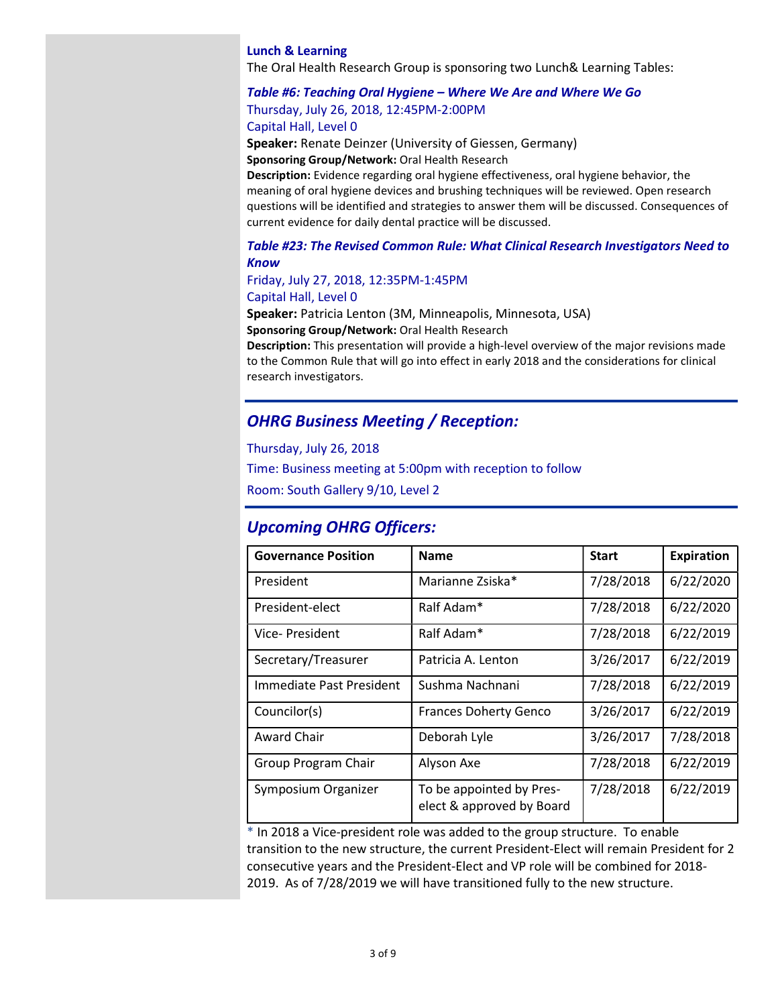#### Lunch & Learning

The Oral Health Research Group is sponsoring two Lunch& Learning Tables:

## Table #6: Teaching Oral Hygiene – Where We Are and Where We Go Thursday, July 26, 2018, 12:45PM-2:00PM

Capital Hall, Level 0

Speaker: Renate Deinzer (University of Giessen, Germany) Sponsoring Group/Network: Oral Health Research

Description: Evidence regarding oral hygiene effectiveness, oral hygiene behavior, the meaning of oral hygiene devices and brushing techniques will be reviewed. Open research questions will be identified and strategies to answer them will be discussed. Consequences of current evidence for daily dental practice will be discussed.

#### Table #23: The Revised Common Rule: What Clinical Research Investigators Need to Know

### Friday, July 27, 2018, 12:35PM-1:45PM Capital Hall, Level 0

Speaker: Patricia Lenton (3M, Minneapolis, Minnesota, USA) Sponsoring Group/Network: Oral Health Research

Description: This presentation will provide a high-level overview of the major revisions made to the Common Rule that will go into effect in early 2018 and the considerations for clinical research investigators.

## OHRG Business Meeting / Reception:

Thursday, July 26, 2018

Time: Business meeting at 5:00pm with reception to follow

Room: South Gallery 9/10, Level 2

## Upcoming OHRG Officers:

| <b>Governance Position</b> | <b>Name</b>                                           | <b>Start</b> | <b>Expiration</b> |
|----------------------------|-------------------------------------------------------|--------------|-------------------|
| President                  | Marianne Zsiska*                                      | 7/28/2018    | 6/22/2020         |
| President-elect            | Ralf Adam*                                            | 7/28/2018    | 6/22/2020         |
| Vice- President            | Ralf Adam*                                            | 7/28/2018    | 6/22/2019         |
| Secretary/Treasurer        | Patricia A. Lenton                                    | 3/26/2017    | 6/22/2019         |
| Immediate Past President   | Sushma Nachnani                                       | 7/28/2018    | 6/22/2019         |
| Councilor(s)               | <b>Frances Doherty Genco</b>                          | 3/26/2017    | 6/22/2019         |
| <b>Award Chair</b>         | Deborah Lyle                                          | 3/26/2017    | 7/28/2018         |
| Group Program Chair        | Alyson Axe                                            | 7/28/2018    | 6/22/2019         |
| Symposium Organizer        | To be appointed by Pres-<br>elect & approved by Board | 7/28/2018    | 6/22/2019         |

 $*$  In 2018 a Vice-president role was added to the group structure. To enable transition to the new structure, the current President-Elect will remain President for 2 consecutive years and the President-Elect and VP role will be combined for 2018- 2019. As of 7/28/2019 we will have transitioned fully to the new structure.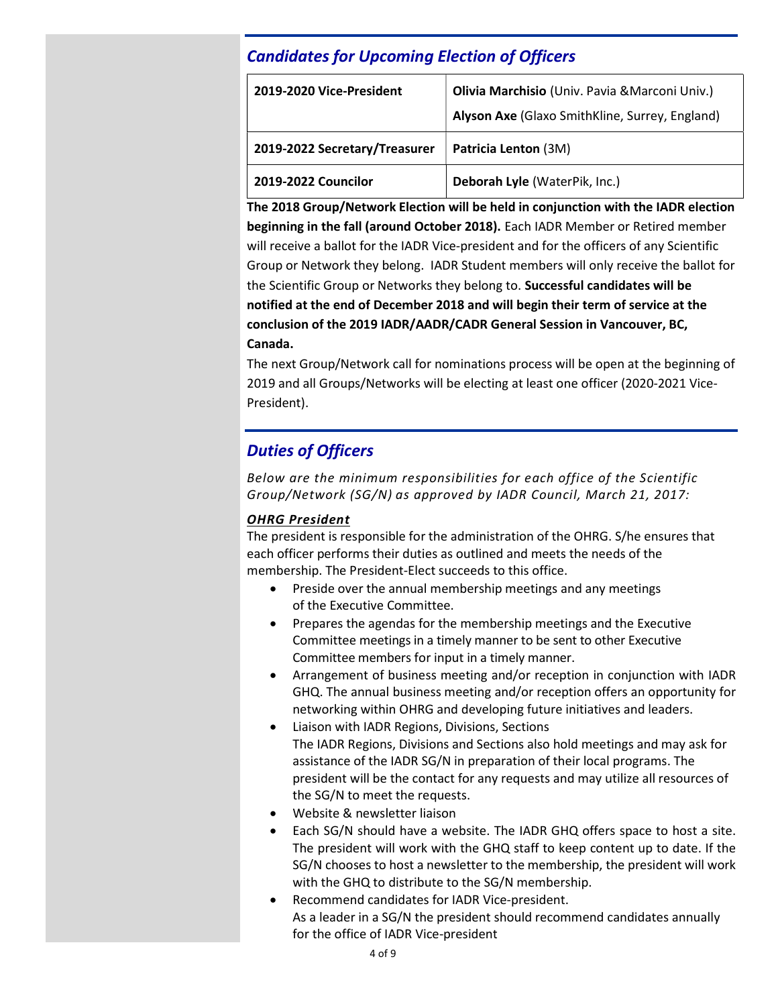## Candidates for Upcoming Election of Officers

| 2019-2020 Vice-President      | Olivia Marchisio (Univ. Pavia & Marconi Univ.)<br>Alyson Axe (Glaxo SmithKline, Surrey, England) |
|-------------------------------|--------------------------------------------------------------------------------------------------|
| 2019-2022 Secretary/Treasurer | Patricia Lenton (3M)                                                                             |
| 2019-2022 Councilor           | Deborah Lyle (WaterPik, Inc.)                                                                    |

The 2018 Group/Network Election will be held in conjunction with the IADR election beginning in the fall (around October 2018). Each IADR Member or Retired member will receive a ballot for the IADR Vice-president and for the officers of any Scientific Group or Network they belong. IADR Student members will only receive the ballot for the Scientific Group or Networks they belong to. Successful candidates will be notified at the end of December 2018 and will begin their term of service at the conclusion of the 2019 IADR/AADR/CADR General Session in Vancouver, BC, Canada.

The next Group/Network call for nominations process will be open at the beginning of 2019 and all Groups/Networks will be electing at least one officer (2020-2021 Vice-President).

## Duties of Officers

Below are the minimum responsibilities for each office of the Scientific Group/Network (SG/N) as approved by IADR Council, March 21, 2017:

## OHRG President

The president is responsible for the administration of the OHRG. S/he ensures that each officer performs their duties as outlined and meets the needs of the membership. The President-Elect succeeds to this office.

- Preside over the annual membership meetings and any meetings of the Executive Committee.
- Prepares the agendas for the membership meetings and the Executive Committee meetings in a timely manner to be sent to other Executive Committee members for input in a timely manner.
- Arrangement of business meeting and/or reception in conjunction with IADR GHQ. The annual business meeting and/or reception offers an opportunity for networking within OHRG and developing future initiatives and leaders.
- Liaison with IADR Regions, Divisions, Sections The IADR Regions, Divisions and Sections also hold meetings and may ask for assistance of the IADR SG/N in preparation of their local programs. The president will be the contact for any requests and may utilize all resources of the SG/N to meet the requests.
- Website & newsletter liaison
- Each SG/N should have a website. The IADR GHQ offers space to host a site. The president will work with the GHQ staff to keep content up to date. If the SG/N chooses to host a newsletter to the membership, the president will work with the GHQ to distribute to the SG/N membership.
- Recommend candidates for IADR Vice-president. As a leader in a SG/N the president should recommend candidates annually for the office of IADR Vice-president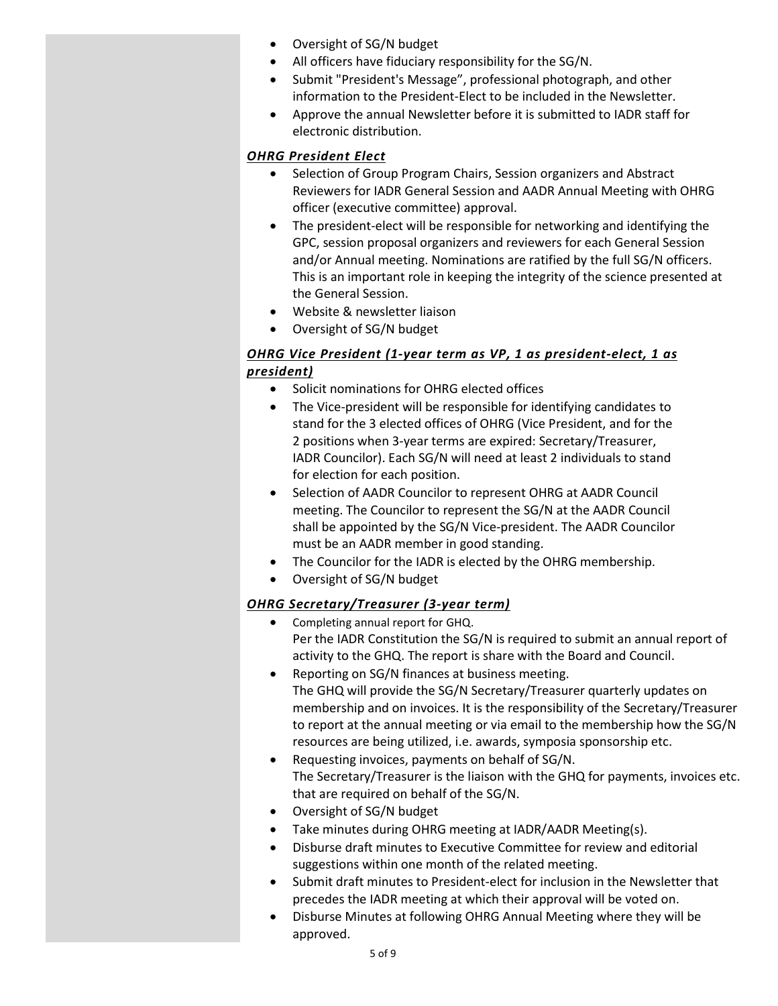- Oversight of SG/N budget
- All officers have fiduciary responsibility for the SG/N.
- Submit "President's Message", professional photograph, and other information to the President-Elect to be included in the Newsletter.
- Approve the annual Newsletter before it is submitted to IADR staff for electronic distribution.

## OHRG President Elect

- Selection of Group Program Chairs, Session organizers and Abstract Reviewers for IADR General Session and AADR Annual Meeting with OHRG officer (executive committee) approval.
- The president-elect will be responsible for networking and identifying the GPC, session proposal organizers and reviewers for each General Session and/or Annual meeting. Nominations are ratified by the full SG/N officers. This is an important role in keeping the integrity of the science presented at the General Session.
- Website & newsletter liaison
- Oversight of SG/N budget

## OHRG Vice President (1-year term as VP, 1 as president-elect, 1 as president)

- Solicit nominations for OHRG elected offices
- The Vice-president will be responsible for identifying candidates to stand for the 3 elected offices of OHRG (Vice President, and for the 2 positions when 3-year terms are expired: Secretary/Treasurer, IADR Councilor). Each SG/N will need at least 2 individuals to stand for election for each position.
- Selection of AADR Councilor to represent OHRG at AADR Council meeting. The Councilor to represent the SG/N at the AADR Council shall be appointed by the SG/N Vice-president. The AADR Councilor must be an AADR member in good standing.
- The Councilor for the IADR is elected by the OHRG membership.
- Oversight of SG/N budget

## OHRG Secretary/Treasurer (3-year term)

- Completing annual report for GHQ. Per the IADR Constitution the SG/N is required to submit an annual report of activity to the GHQ. The report is share with the Board and Council.
- Reporting on SG/N finances at business meeting. The GHQ will provide the SG/N Secretary/Treasurer quarterly updates on membership and on invoices. It is the responsibility of the Secretary/Treasurer to report at the annual meeting or via email to the membership how the SG/N resources are being utilized, i.e. awards, symposia sponsorship etc.
- Requesting invoices, payments on behalf of SG/N. The Secretary/Treasurer is the liaison with the GHQ for payments, invoices etc. that are required on behalf of the SG/N.
- Oversight of SG/N budget
- Take minutes during OHRG meeting at IADR/AADR Meeting(s).
- Disburse draft minutes to Executive Committee for review and editorial suggestions within one month of the related meeting.
- Submit draft minutes to President-elect for inclusion in the Newsletter that precedes the IADR meeting at which their approval will be voted on.
- Disburse Minutes at following OHRG Annual Meeting where they will be approved.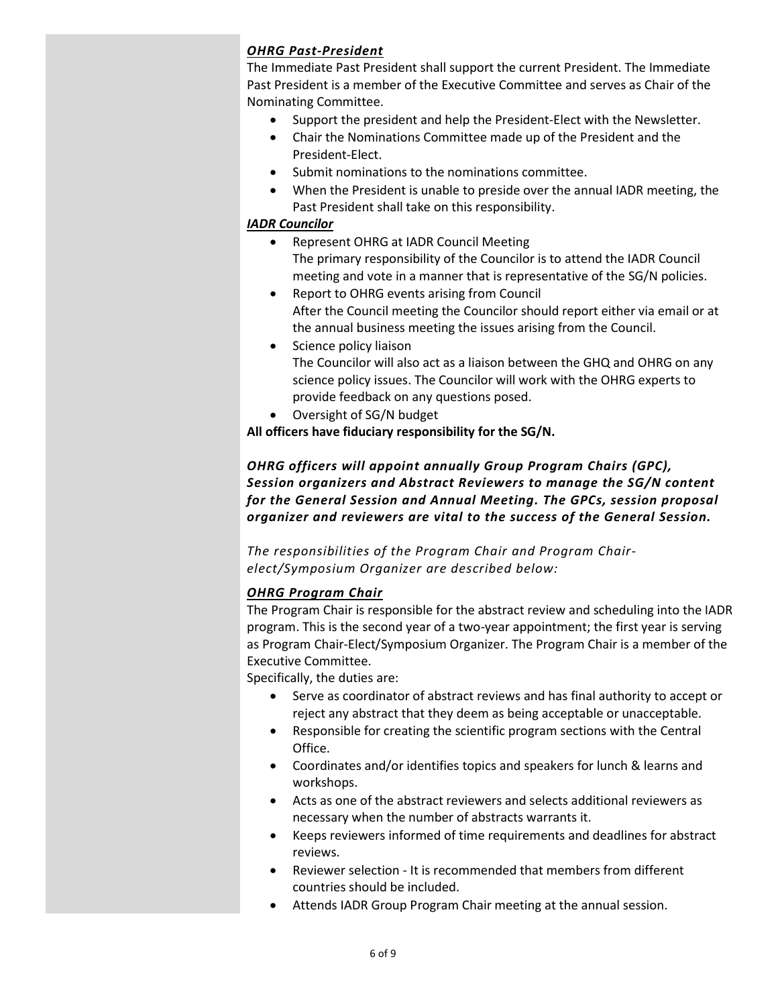## OHRG Past-President

The Immediate Past President shall support the current President. The Immediate Past President is a member of the Executive Committee and serves as Chair of the Nominating Committee.

- Support the president and help the President-Elect with the Newsletter.
- Chair the Nominations Committee made up of the President and the President-Elect.
- Submit nominations to the nominations committee.
- When the President is unable to preside over the annual IADR meeting, the Past President shall take on this responsibility.

## IADR Councilor

- Represent OHRG at IADR Council Meeting The primary responsibility of the Councilor is to attend the IADR Council meeting and vote in a manner that is representative of the SG/N policies.
- Report to OHRG events arising from Council After the Council meeting the Councilor should report either via email or at the annual business meeting the issues arising from the Council.
- Science policy liaison The Councilor will also act as a liaison between the GHQ and OHRG on any science policy issues. The Councilor will work with the OHRG experts to provide feedback on any questions posed.
- Oversight of SG/N budget

All officers have fiduciary responsibility for the SG/N.

## OHRG officers will appoint annually Group Program Chairs (GPC), Session organizers and Abstract Reviewers to manage the SG/N content for the General Session and Annual Meeting. The GPCs, session proposal organizer and reviewers are vital to the success of the General Session.

The responsibilities of the Program Chair and Program Chairelect/Symposium Organizer are described below:

## OHRG Program Chair

The Program Chair is responsible for the abstract review and scheduling into the IADR program. This is the second year of a two-year appointment; the first year is serving as Program Chair-Elect/Symposium Organizer. The Program Chair is a member of the Executive Committee.

Specifically, the duties are:

- Serve as coordinator of abstract reviews and has final authority to accept or reject any abstract that they deem as being acceptable or unacceptable.
- Responsible for creating the scientific program sections with the Central Office.
- Coordinates and/or identifies topics and speakers for lunch & learns and workshops.
- Acts as one of the abstract reviewers and selects additional reviewers as necessary when the number of abstracts warrants it.
- Keeps reviewers informed of time requirements and deadlines for abstract reviews.
- Reviewer selection It is recommended that members from different countries should be included.
- Attends IADR Group Program Chair meeting at the annual session.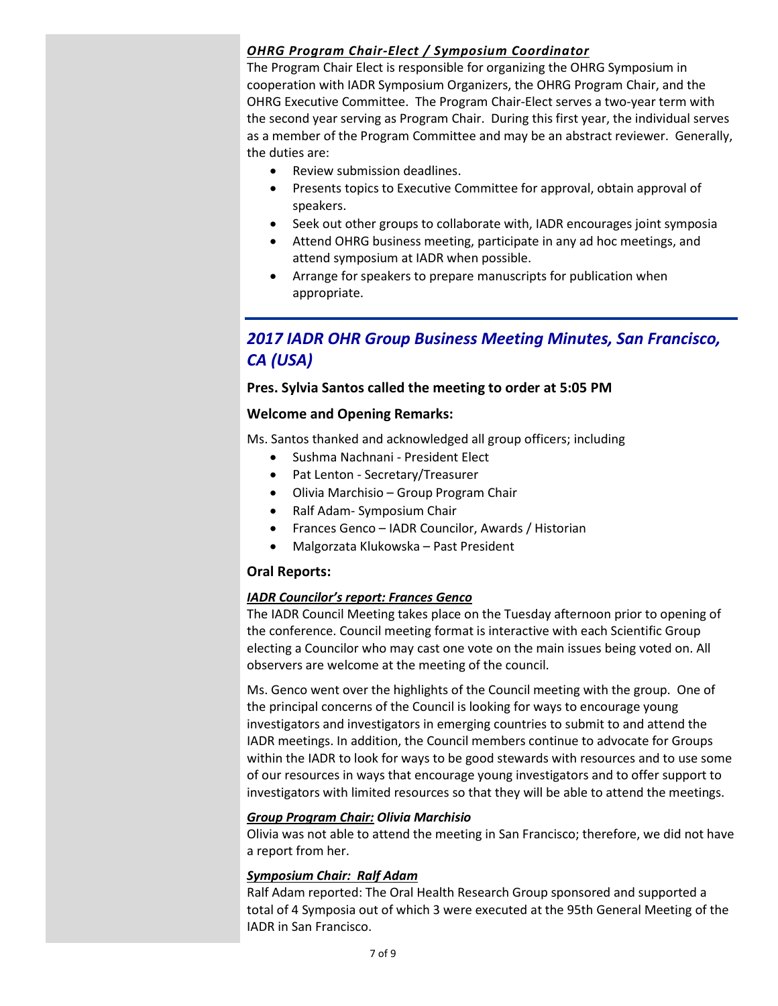## OHRG Program Chair-Elect / Symposium Coordinator

The Program Chair Elect is responsible for organizing the OHRG Symposium in cooperation with IADR Symposium Organizers, the OHRG Program Chair, and the OHRG Executive Committee. The Program Chair-Elect serves a two-year term with the second year serving as Program Chair. During this first year, the individual serves as a member of the Program Committee and may be an abstract reviewer. Generally, the duties are:

- Review submission deadlines.
- Presents topics to Executive Committee for approval, obtain approval of speakers.
- Seek out other groups to collaborate with, IADR encourages joint symposia
- Attend OHRG business meeting, participate in any ad hoc meetings, and attend symposium at IADR when possible.
- Arrange for speakers to prepare manuscripts for publication when appropriate.

## 2017 IADR OHR Group Business Meeting Minutes, San Francisco, CA (USA)

## Pres. Sylvia Santos called the meeting to order at 5:05 PM

## Welcome and Opening Remarks:

Ms. Santos thanked and acknowledged all group officers; including

- Sushma Nachnani President Elect
- Pat Lenton Secretary/Treasurer
- Olivia Marchisio Group Program Chair
- Ralf Adam- Symposium Chair
- Frances Genco IADR Councilor, Awards / Historian
- Malgorzata Klukowska Past President

## Oral Reports:

### IADR Councilor's report: Frances Genco

The IADR Council Meeting takes place on the Tuesday afternoon prior to opening of the conference. Council meeting format is interactive with each Scientific Group electing a Councilor who may cast one vote on the main issues being voted on. All observers are welcome at the meeting of the council.

Ms. Genco went over the highlights of the Council meeting with the group. One of the principal concerns of the Council is looking for ways to encourage young investigators and investigators in emerging countries to submit to and attend the IADR meetings. In addition, the Council members continue to advocate for Groups within the IADR to look for ways to be good stewards with resources and to use some of our resources in ways that encourage young investigators and to offer support to investigators with limited resources so that they will be able to attend the meetings.

### Group Program Chair: Olivia Marchisio

Olivia was not able to attend the meeting in San Francisco; therefore, we did not have a report from her.

### Symposium Chair: Ralf Adam

Ralf Adam reported: The Oral Health Research Group sponsored and supported a total of 4 Symposia out of which 3 were executed at the 95th General Meeting of the IADR in San Francisco.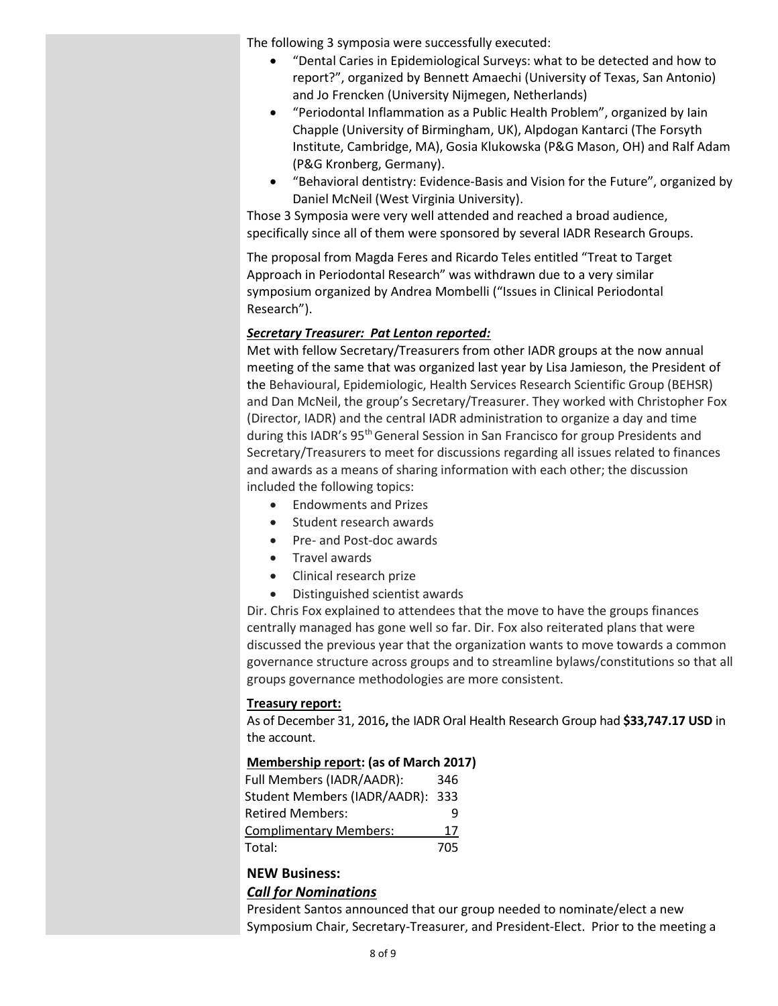The following 3 symposia were successfully executed:

- "Dental Caries in Epidemiological Surveys: what to be detected and how to report?", organized by Bennett Amaechi (University of Texas, San Antonio) and Jo Frencken (University Nijmegen, Netherlands)
- "Periodontal Inflammation as a Public Health Problem", organized by Iain Chapple (University of Birmingham, UK), Alpdogan Kantarci (The Forsyth Institute, Cambridge, MA), Gosia Klukowska (P&G Mason, OH) and Ralf Adam (P&G Kronberg, Germany).
- "Behavioral dentistry: Evidence-Basis and Vision for the Future", organized by Daniel McNeil (West Virginia University).

Those 3 Symposia were very well attended and reached a broad audience, specifically since all of them were sponsored by several IADR Research Groups.

The proposal from Magda Feres and Ricardo Teles entitled "Treat to Target Approach in Periodontal Research" was withdrawn due to a very similar symposium organized by Andrea Mombelli ("Issues in Clinical Periodontal Research").

#### Secretary Treasurer: Pat Lenton reported:

Met with fellow Secretary/Treasurers from other IADR groups at the now annual meeting of the same that was organized last year by Lisa Jamieson, the President of the Behavioural, Epidemiologic, Health Services Research Scientific Group (BEHSR) and Dan McNeil, the group's Secretary/Treasurer. They worked with Christopher Fox (Director, IADR) and the central IADR administration to organize a day and time during this IADR's 95th General Session in San Francisco for group Presidents and Secretary/Treasurers to meet for discussions regarding all issues related to finances and awards as a means of sharing information with each other; the discussion included the following topics:

- Endowments and Prizes
- Student research awards
- Pre- and Post-doc awards
- **•** Travel awards
- Clinical research prize
- Distinguished scientist awards

Dir. Chris Fox explained to attendees that the move to have the groups finances centrally managed has gone well so far. Dir. Fox also reiterated plans that were discussed the previous year that the organization wants to move towards a common governance structure across groups and to streamline bylaws/constitutions so that all groups governance methodologies are more consistent.

#### Treasury report:

As of December 31, 2016, the IADR Oral Health Research Group had \$33,747.17 USD in the account.

#### Membership report: (as of March 2017)

| Full Members (IADR/AADR):        | 346 |
|----------------------------------|-----|
| Student Members (IADR/AADR): 333 |     |
| <b>Retired Members:</b>          |     |
| <b>Complimentary Members:</b>    | 17  |
| Total:                           | 705 |

## NEW Business:

### Call for Nominations

President Santos announced that our group needed to nominate/elect a new Symposium Chair, Secretary-Treasurer, and President-Elect. Prior to the meeting a